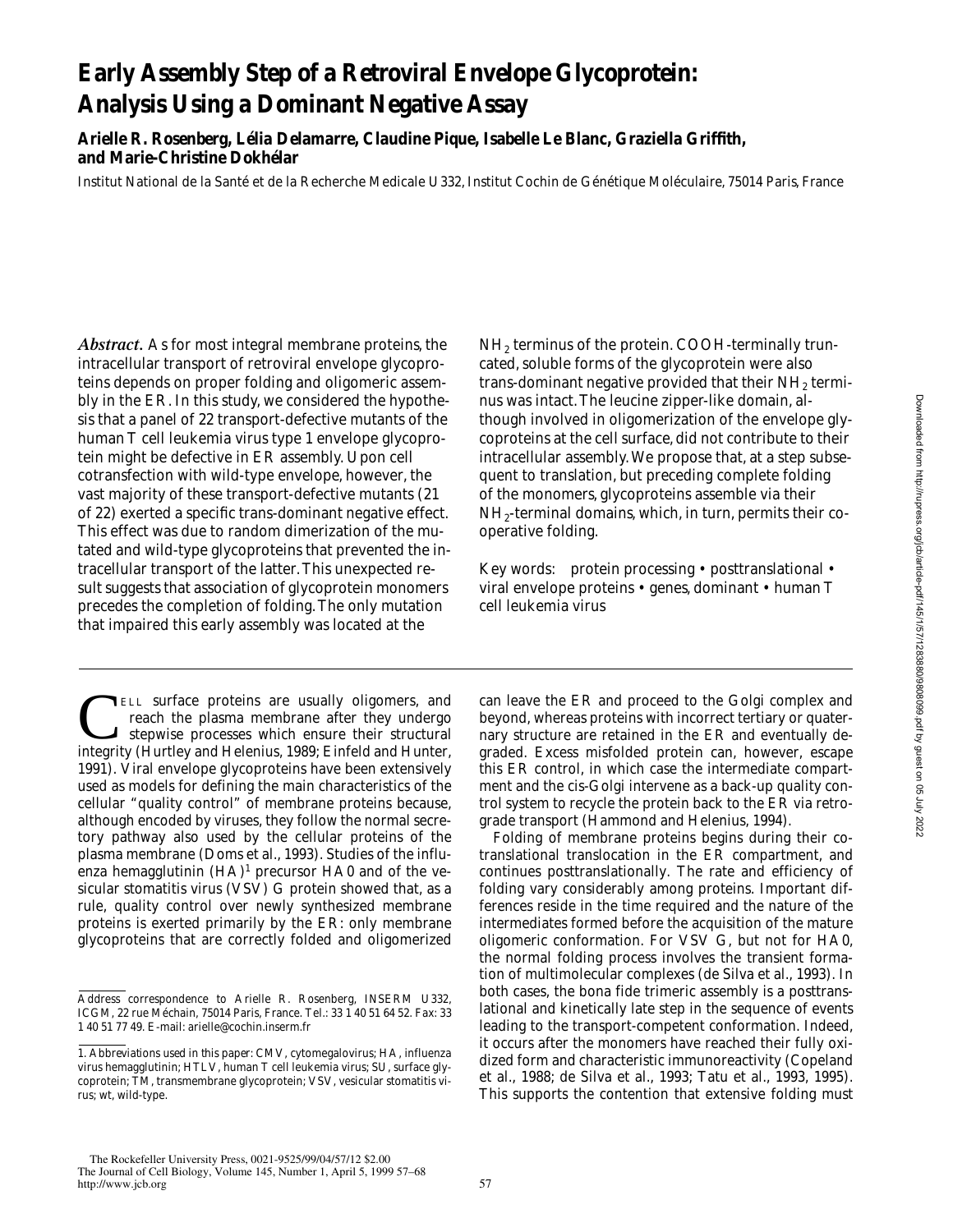# **Early Assembly Step of a Retroviral Envelope Glycoprotein: Analysis Using a Dominant Negative Assay**

**Arielle R. Rosenberg, Lélia Delamarre, Claudine Pique, Isabelle Le Blanc, Graziella Griffith, and Marie-Christine Dokhélar**

Institut National de la Santé et de la Recherche Medicale U332, Institut Cochin de Génétique Moléculaire, 75014 Paris, France

*Abstract.* As for most integral membrane proteins, the intracellular transport of retroviral envelope glycoproteins depends on proper folding and oligomeric assembly in the ER. In this study, we considered the hypothesis that a panel of 22 transport-defective mutants of the human T cell leukemia virus type 1 envelope glycoprotein might be defective in ER assembly. Upon cell cotransfection with wild-type envelope, however, the vast majority of these transport-defective mutants (21 of 22) exerted a specific trans-dominant negative effect. This effect was due to random dimerization of the mutated and wild-type glycoproteins that prevented the intracellular transport of the latter. This unexpected result suggests that association of glycoprotein monomers precedes the completion of folding. The only mutation that impaired this early assembly was located at the

**TELL surface proteins are usually oligomers, and** reach the plasma membrane after they undergo stepwise processes which ensure their structural integrity (Hurtley and Helenius, 1989; Einfeld and Hunter, 1991). Viral envelope glycoproteins have been extensively used as models for defining the main characteristics of the cellular "quality control" of membrane proteins because, although encoded by viruses, they follow the normal secretory pathway also used by the cellular proteins of the plasma membrane (Doms et al., 1993). Studies of the influenza hemagglutinin  $(HA)^1$  precursor  $HA0$  and of the vesicular stomatitis virus (VSV) G protein showed that, as a rule, quality control over newly synthesized membrane proteins is exerted primarily by the ER: only membrane glycoproteins that are correctly folded and oligomerized  $NH<sub>2</sub>$  terminus of the protein. COOH-terminally truncated, soluble forms of the glycoprotein were also trans-dominant negative provided that their  $NH<sub>2</sub>$  terminus was intact. The leucine zipper-like domain, although involved in oligomerization of the envelope glycoproteins at the cell surface, did not contribute to their intracellular assembly. We propose that, at a step subsequent to translation, but preceding complete folding of the monomers, glycoproteins assemble via their  $NH<sub>2</sub>$ -terminal domains, which, in turn, permits their cooperative folding.

Key words: protein processing • posttranslational • viral envelope proteins • genes, dominant • human T cell leukemia virus

can leave the ER and proceed to the Golgi complex and beyond, whereas proteins with incorrect tertiary or quaternary structure are retained in the ER and eventually degraded. Excess misfolded protein can, however, escape this ER control, in which case the intermediate compartment and the cis-Golgi intervene as a back-up quality control system to recycle the protein back to the ER via retrograde transport (Hammond and Helenius, 1994).

Folding of membrane proteins begins during their cotranslational translocation in the ER compartment, and continues posttranslationally. The rate and efficiency of folding vary considerably among proteins. Important differences reside in the time required and the nature of the intermediates formed before the acquisition of the mature oligomeric conformation. For VSV G, but not for HA0, the normal folding process involves the transient formation of multimolecular complexes (de Silva et al., 1993). In both cases, the bona fide trimeric assembly is a posttranslational and kinetically late step in the sequence of events leading to the transport-competent conformation. Indeed, it occurs after the monomers have reached their fully oxidized form and characteristic immunoreactivity (Copeland et al., 1988; de Silva et al., 1993; Tatu et al., 1993, 1995). This supports the contention that extensive folding must

Address correspondence to Arielle R. Rosenberg, INSERM U332, ICGM, 22 rue Méchain, 75014 Paris, France. Tel.: 33 1 40 51 64 52. Fax: 33 1 40 51 77 49. E-mail: arielle@cochin.inserm.fr

<sup>1.</sup> *Abbreviations used in this paper:* CMV, cytomegalovirus; HA, influenza virus hemagglutinin; HTLV, human T cell leukemia virus; SU, surface glycoprotein; TM, transmembrane glycoprotein; VSV, vesicular stomatitis virus; wt, wild-type.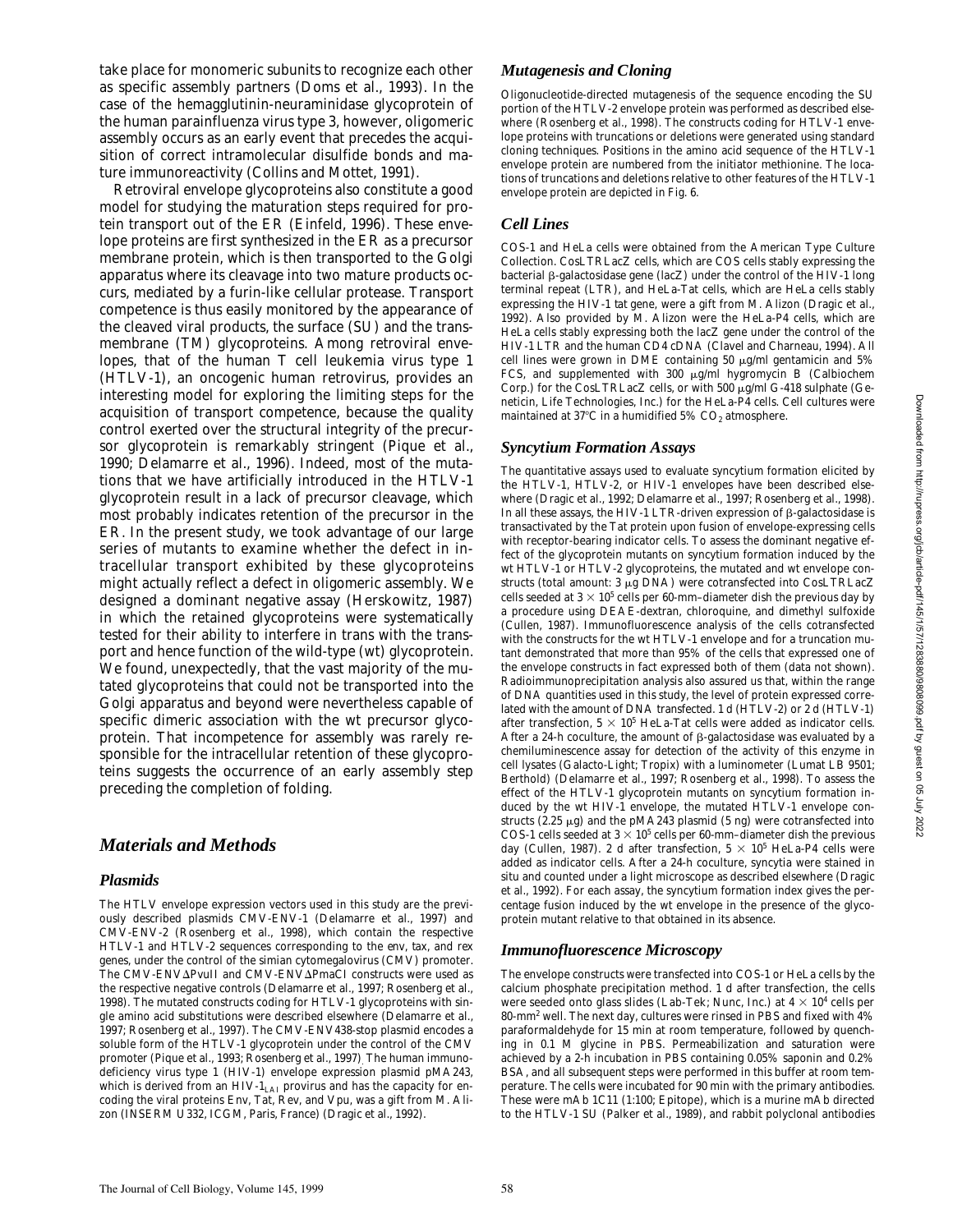take place for monomeric subunits to recognize each other as specific assembly partners (Doms et al., 1993). In the case of the hemagglutinin-neuraminidase glycoprotein of the human parainfluenza virus type 3, however, oligomeric assembly occurs as an early event that precedes the acquisition of correct intramolecular disulfide bonds and mature immunoreactivity (Collins and Mottet, 1991).

Retroviral envelope glycoproteins also constitute a good model for studying the maturation steps required for protein transport out of the ER (Einfeld, 1996). These envelope proteins are first synthesized in the ER as a precursor membrane protein, which is then transported to the Golgi apparatus where its cleavage into two mature products occurs, mediated by a furin-like cellular protease. Transport competence is thus easily monitored by the appearance of the cleaved viral products, the surface (SU) and the transmembrane (TM) glycoproteins. Among retroviral envelopes, that of the human T cell leukemia virus type 1 (HTLV-1), an oncogenic human retrovirus, provides an interesting model for exploring the limiting steps for the acquisition of transport competence, because the quality control exerted over the structural integrity of the precursor glycoprotein is remarkably stringent (Pique et al., 1990; Delamarre et al., 1996). Indeed, most of the mutations that we have artificially introduced in the HTLV-1 glycoprotein result in a lack of precursor cleavage, which most probably indicates retention of the precursor in the ER. In the present study, we took advantage of our large series of mutants to examine whether the defect in intracellular transport exhibited by these glycoproteins might actually reflect a defect in oligomeric assembly. We designed a dominant negative assay (Herskowitz, 1987) in which the retained glycoproteins were systematically tested for their ability to interfere in trans with the transport and hence function of the wild-type (wt) glycoprotein. We found, unexpectedly, that the vast majority of the mutated glycoproteins that could not be transported into the Golgi apparatus and beyond were nevertheless capable of specific dimeric association with the wt precursor glycoprotein. That incompetence for assembly was rarely responsible for the intracellular retention of these glycoproteins suggests the occurrence of an early assembly step preceding the completion of folding.

# *Materials and Methods*

# *Plasmids*

The HTLV envelope expression vectors used in this study are the previously described plasmids CMV-ENV-1 (Delamarre et al., 1997) and CMV-ENV-2 (Rosenberg et al., 1998), which contain the respective HTLV-1 and HTLV-2 sequences corresponding to the *env*, *tax*, and *rex* genes, under the control of the simian cytomegalovirus (CMV) promoter. The CMV-ENV $\Delta$ PvuII and CMV-ENV $\Delta$ PmaCI constructs were used as the respective negative controls (Delamarre et al., 1997; Rosenberg et al., 1998). The mutated constructs coding for HTLV-1 glycoproteins with single amino acid substitutions were described elsewhere (Delamarre et al., 1997; Rosenberg et al., 1997). The CMV-ENV438-stop plasmid encodes a soluble form of the HTLV-1 glycoprotein under the control of the CMV promoter (Pique et al., 1993; Rosenberg et al., 1997). The human immunodeficiency virus type 1 (HIV-1) envelope expression plasmid pMA243, which is derived from an  $HIV-1<sub>LAI</sub>$  provirus and has the capacity for encoding the viral proteins Env, Tat, Rev, and Vpu, was a gift from M. Alizon (INSERM U332, ICGM, Paris, France) (Dragic et al., 1992).

# *Mutagenesis and Cloning*

Oligonucleotide-directed mutagenesis of the sequence encoding the SU portion of the HTLV-2 envelope protein was performed as described elsewhere (Rosenberg et al., 1998). The constructs coding for HTLV-1 envelope proteins with truncations or deletions were generated using standard cloning techniques. Positions in the amino acid sequence of the HTLV-1 envelope protein are numbered from the initiator methionine. The locations of truncations and deletions relative to other features of the HTLV-1 envelope protein are depicted in Fig. 6.

# *Cell Lines*

COS-1 and HeLa cells were obtained from the American Type Culture Collection. CosLTRLacZ cells, which are COS cells stably expressing the bacterial β-galactosidase gene (*lacZ*) under the control of the HIV-1 long terminal repeat (LTR), and HeLa-Tat cells, which are HeLa cells stably expressing the HIV-1 *tat* gene, were a gift from M. Alizon (Dragic et al., 1992). Also provided by M. Alizon were the HeLa-P4 cells, which are HeLa cells stably expressing both the *lacZ* gene under the control of the HIV-1 LTR and the human CD4 cDNA (Clavel and Charneau, 1994). All cell lines were grown in DME containing 50  $\mu$ g/ml gentamicin and 5% FCS, and supplemented with 300 µg/ml hygromycin B (Calbiochem Corp.) for the CosLTRLacZ cells, or with 500 µg/ml G-418 sulphate (Geneticin, Life Technologies, Inc.) for the HeLa-P4 cells. Cell cultures were maintained at 37°C in a humidified 5%  $CO<sub>2</sub>$  atmosphere.

# *Syncytium Formation Assays*

The quantitative assays used to evaluate syncytium formation elicited by the HTLV-1, HTLV-2, or HIV-1 envelopes have been described elsewhere (Dragic et al., 1992; Delamarre et al., 1997; Rosenberg et al., 1998). In all these assays, the HIV-1 LTR-driven expression of  $\beta$ -galactosidase is transactivated by the Tat protein upon fusion of envelope-expressing cells with receptor-bearing indicator cells. To assess the dominant negative effect of the glycoprotein mutants on syncytium formation induced by the wt HTLV-1 or HTLV-2 glycoproteins, the mutated and wt envelope constructs (total amount:  $3 \mu g$  DNA) were cotransfected into CosLTRLacZ cells seeded at  $3 \times 10^5$  cells per 60-mm–diameter dish the previous day by a procedure using DEAE-dextran, chloroquine, and dimethyl sulfoxide (Cullen, 1987). Immunofluorescence analysis of the cells cotransfected with the constructs for the wt HTLV-1 envelope and for a truncation mutant demonstrated that more than 95% of the cells that expressed one of the envelope constructs in fact expressed both of them (data not shown). Radioimmunoprecipitation analysis also assured us that, within the range of DNA quantities used in this study, the level of protein expressed correlated with the amount of DNA transfected. 1 d (HTLV-2) or 2 d (HTLV-1) after transfection,  $5 \times 10^5$  HeLa-Tat cells were added as indicator cells. After a 24-h coculture, the amount of  $\beta$ -galactosidase was evaluated by a chemiluminescence assay for detection of the activity of this enzyme in cell lysates (Galacto-Light; Tropix) with a luminometer (Lumat LB 9501; Berthold) (Delamarre et al., 1997; Rosenberg et al., 1998). To assess the effect of the HTLV-1 glycoprotein mutants on syncytium formation induced by the wt HIV-1 envelope, the mutated HTLV-1 envelope constructs (2.25  $\mu$ g) and the pMA243 plasmid (5 ng) were cotransfected into COS-1 cells seeded at  $3 \times 10^5$  cells per 60-mm–diameter dish the previous day (Cullen, 1987). 2 d after transfection,  $5 \times 10^5$  HeLa-P4 cells were added as indicator cells. After a 24-h coculture, syncytia were stained in situ and counted under a light microscope as described elsewhere (Dragic et al., 1992). For each assay, the syncytium formation index gives the percentage fusion induced by the wt envelope in the presence of the glycoprotein mutant relative to that obtained in its absence.

# *Immunofluorescence Microscopy*

The envelope constructs were transfected into COS-1 or HeLa cells by the calcium phosphate precipitation method. 1 d after transfection, the cells were seeded onto glass slides (Lab-Tek; Nunc, Inc.) at 4  $\times$  10 $^4$  cells per  $80$ -mm<sup>2</sup> well. The next day, cultures were rinsed in PBS and fixed with  $4\%$ paraformaldehyde for 15 min at room temperature, followed by quenching in 0.1 M glycine in PBS. Permeabilization and saturation were achieved by a 2-h incubation in PBS containing 0.05% saponin and 0.2% BSA, and all subsequent steps were performed in this buffer at room temperature. The cells were incubated for 90 min with the primary antibodies. These were mAb 1C11 (1:100; Epitope), which is a murine mAb directed to the HTLV-1 SU (Palker et al., 1989), and rabbit polyclonal antibodies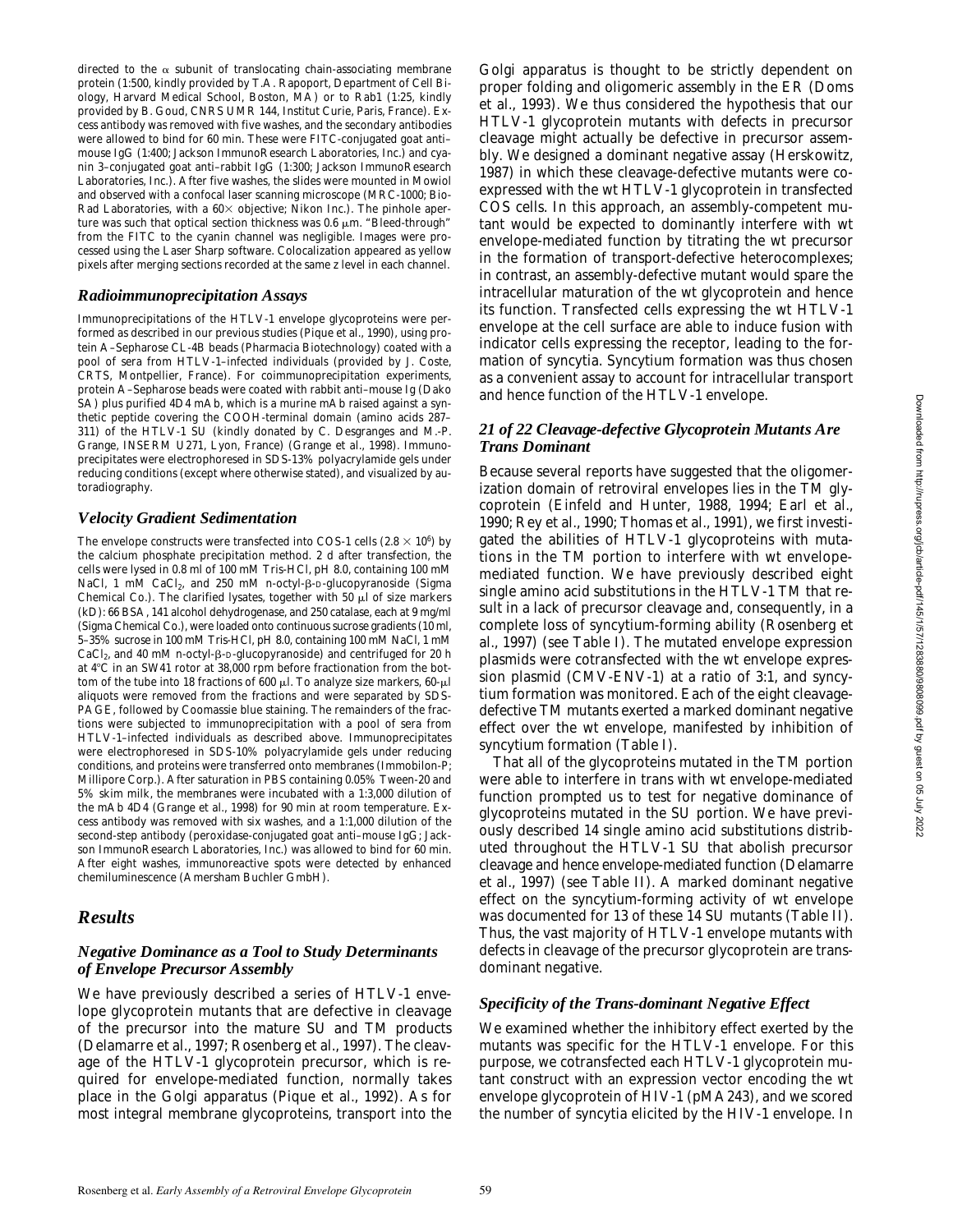directed to the  $\alpha$  subunit of translocating chain-associating membrane protein (1:500, kindly provided by T.A. Rapoport, Department of Cell Biology, Harvard Medical School, Boston, MA) or to Rab1 (1:25, kindly provided by B. Goud, CNRS UMR 144, Institut Curie, Paris, France). Excess antibody was removed with five washes, and the secondary antibodies were allowed to bind for 60 min. These were FITC-conjugated goat anti– mouse IgG (1:400; Jackson ImmunoResearch Laboratories, Inc.) and cyanin 3–conjugated goat anti–rabbit IgG (1:300; Jackson ImmunoResearch Laboratories, Inc.). After five washes, the slides were mounted in Mowiol and observed with a confocal laser scanning microscope (MRC-1000; Bio-Rad Laboratories, with a  $60\times$  objective; Nikon Inc.). The pinhole aperture was such that optical section thickness was  $0.6 \mu m$ . "Bleed-through" from the FITC to the cyanin channel was negligible. Images were processed using the Laser Sharp software. Colocalization appeared as yellow pixels after merging sections recorded at the same z level in each channel.

## *Radioimmunoprecipitation Assays*

Immunoprecipitations of the HTLV-1 envelope glycoproteins were performed as described in our previous studies (Pique et al., 1990), using protein A–Sepharose CL-4B beads (Pharmacia Biotechnology) coated with a pool of sera from HTLV-1–infected individuals (provided by J. Coste, CRTS, Montpellier, France). For coimmunoprecipitation experiments, protein A–Sepharose beads were coated with rabbit anti–mouse Ig (Dako SA) plus purified 4D4 mAb, which is a murine mAb raised against a synthetic peptide covering the COOH-terminal domain (amino acids 287– 311) of the HTLV-1 SU (kindly donated by C. Desgranges and M.-P. Grange, INSERM U271, Lyon, France) (Grange et al., 1998). Immunoprecipitates were electrophoresed in SDS-13% polyacrylamide gels under reducing conditions (except where otherwise stated), and visualized by autoradiography.

#### *Velocity Gradient Sedimentation*

The envelope constructs were transfected into COS-1 cells  $(2.8 \times 10^6)$  by the calcium phosphate precipitation method. 2 d after transfection, the cells were lysed in 0.8 ml of 100 mM Tris-HCl, pH 8.0, containing 100 mM NaCl, 1 mM CaCl<sub>2</sub>, and 250 mM *n*-octyl-β-D-glucopyranoside (Sigma Chemical Co.). The clarified lysates, together with 50  $\mu$ l of size markers (kD): 66 BSA, 141 alcohol dehydrogenase, and 250 catalase, each at 9 mg/ml (Sigma Chemical Co.), were loaded onto continuous sucrose gradients (10 ml, 5–35% sucrose in 100 mM Tris-HCl, pH 8.0, containing 100 mM NaCl, 1 mM CaCl<sub>2</sub>, and 40 mM *n*-octyl-β-D-glucopyranoside) and centrifuged for 20 h at 4°C in an SW41 rotor at 38,000 rpm before fractionation from the bottom of the tube into 18 fractions of 600  $\mu$ l. To analyze size markers, 60- $\mu$ l aliquots were removed from the fractions and were separated by SDS-PAGE, followed by Coomassie blue staining. The remainders of the fractions were subjected to immunoprecipitation with a pool of sera from HTLV-1–infected individuals as described above. Immunoprecipitates were electrophoresed in SDS-10% polyacrylamide gels under reducing conditions, and proteins were transferred onto membranes (Immobilon-P; Millipore Corp.). After saturation in PBS containing 0.05% Tween-20 and 5% skim milk, the membranes were incubated with a 1:3,000 dilution of the mAb 4D4 (Grange et al., 1998) for 90 min at room temperature. Excess antibody was removed with six washes, and a 1:1,000 dilution of the second-step antibody (peroxidase-conjugated goat anti–mouse IgG; Jackson ImmunoResearch Laboratories, Inc.) was allowed to bind for 60 min. After eight washes, immunoreactive spots were detected by enhanced chemiluminescence (Amersham Buchler GmbH).

# *Results*

## *Negative Dominance as a Tool to Study Determinants of Envelope Precursor Assembly*

We have previously described a series of HTLV-1 envelope glycoprotein mutants that are defective in cleavage of the precursor into the mature SU and TM products (Delamarre et al., 1997; Rosenberg et al., 1997). The cleavage of the HTLV-1 glycoprotein precursor, which is required for envelope-mediated function, normally takes place in the Golgi apparatus (Pique et al., 1992). As for most integral membrane glycoproteins, transport into the

Golgi apparatus is thought to be strictly dependent on proper folding and oligomeric assembly in the ER (Doms et al., 1993). We thus considered the hypothesis that our HTLV-1 glycoprotein mutants with defects in precursor cleavage might actually be defective in precursor assembly. We designed a dominant negative assay (Herskowitz, 1987) in which these cleavage-defective mutants were coexpressed with the wt HTLV-1 glycoprotein in transfected COS cells. In this approach, an assembly-competent mutant would be expected to dominantly interfere with wt envelope-mediated function by titrating the wt precursor in the formation of transport-defective heterocomplexes; in contrast, an assembly-defective mutant would spare the intracellular maturation of the wt glycoprotein and hence its function. Transfected cells expressing the wt HTLV-1 envelope at the cell surface are able to induce fusion with indicator cells expressing the receptor, leading to the formation of syncytia. Syncytium formation was thus chosen as a convenient assay to account for intracellular transport and hence function of the HTLV-1 envelope.

#### *21 of 22 Cleavage-defective Glycoprotein Mutants Are Trans Dominant*

Because several reports have suggested that the oligomerization domain of retroviral envelopes lies in the TM glycoprotein (Einfeld and Hunter, 1988, 1994; Earl et al., 1990; Rey et al., 1990; Thomas et al., 1991), we first investigated the abilities of HTLV-1 glycoproteins with mutations in the TM portion to interfere with wt envelopemediated function. We have previously described eight single amino acid substitutions in the HTLV-1 TM that result in a lack of precursor cleavage and, consequently, in a complete loss of syncytium-forming ability (Rosenberg et al., 1997) (see Table I). The mutated envelope expression plasmids were cotransfected with the wt envelope expression plasmid (CMV-ENV-1) at a ratio of 3:1, and syncytium formation was monitored. Each of the eight cleavagedefective TM mutants exerted a marked dominant negative effect over the wt envelope, manifested by inhibition of syncytium formation (Table I).

That all of the glycoproteins mutated in the TM portion were able to interfere in trans with wt envelope-mediated function prompted us to test for negative dominance of glycoproteins mutated in the SU portion. We have previously described 14 single amino acid substitutions distributed throughout the HTLV-1 SU that abolish precursor cleavage and hence envelope-mediated function (Delamarre et al., 1997) (see Table II). A marked dominant negative effect on the syncytium-forming activity of wt envelope was documented for 13 of these 14 SU mutants (Table II). Thus, the vast majority of HTLV-1 envelope mutants with defects in cleavage of the precursor glycoprotein are transdominant negative.

#### *Specificity of the Trans-dominant Negative Effect*

We examined whether the inhibitory effect exerted by the mutants was specific for the HTLV-1 envelope. For this purpose, we cotransfected each HTLV-1 glycoprotein mutant construct with an expression vector encoding the wt envelope glycoprotein of HIV-1 (pMA243), and we scored the number of syncytia elicited by the HIV-1 envelope. In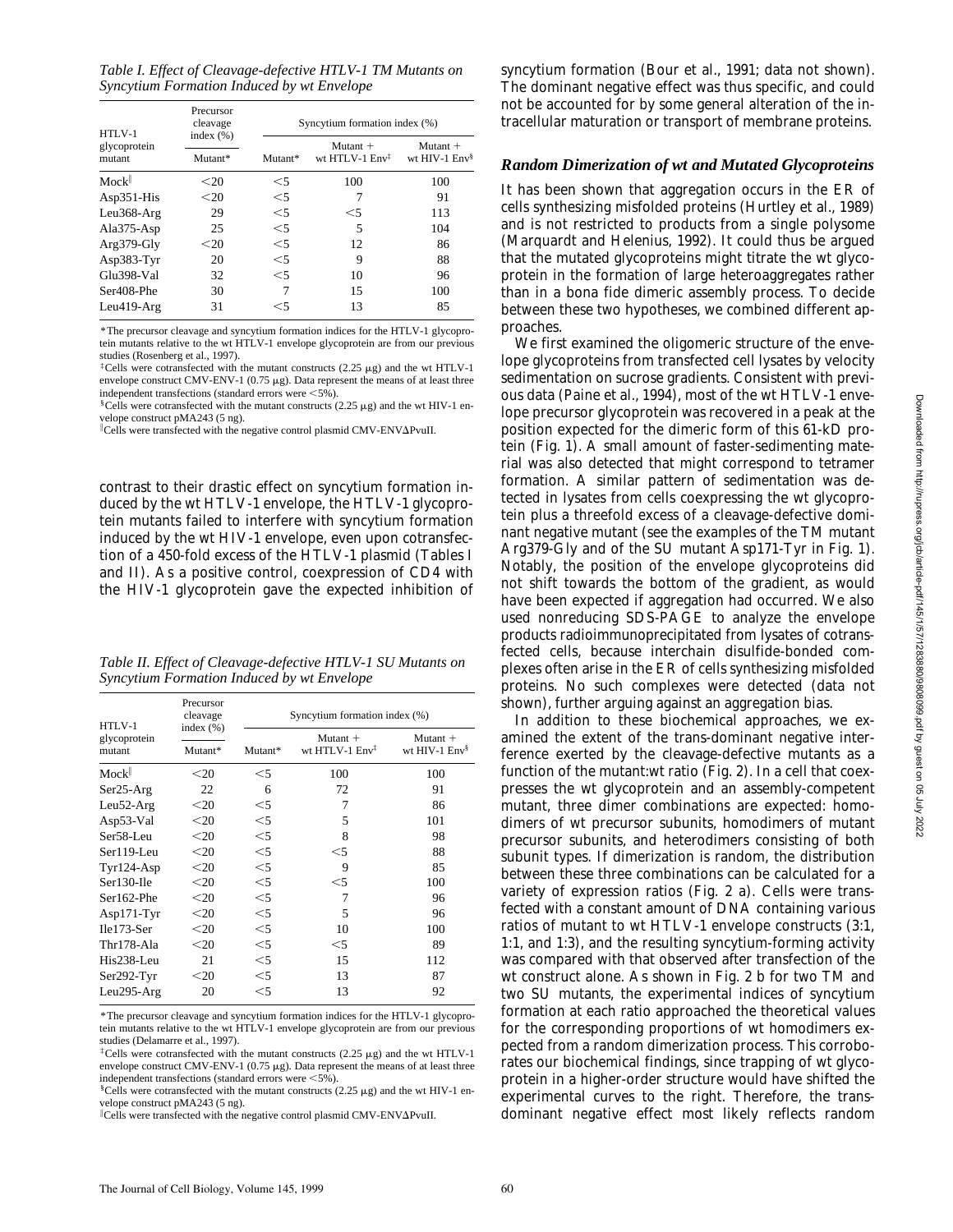*Table I. Effect of Cleavage-defective HTLV-1 TM Mutants on Syncytium Formation Induced by wt Envelope*

| HTLV-1<br>glycoprotein<br>mutant | Precursor<br>cleavage    | Syncytium formation index (%) |                                          |                               |  |
|----------------------------------|--------------------------|-------------------------------|------------------------------------------|-------------------------------|--|
|                                  | index $(\% )$<br>Mutant* | Mutant*                       | Mutant $+$<br>wt HTLV-1 $Env^{\ddagger}$ | Mutant $+$<br>wt HIV-1 $Env§$ |  |
|                                  |                          |                               |                                          |                               |  |
| Mock                             | < 20                     | $<$ 5                         | 100                                      | 100                           |  |
| $Asp351-His$                     | $<$ 20                   | $<$ 5                         |                                          | 91                            |  |
| Leu368-Arg                       | 29                       | $<$ 5                         | $<$ 5                                    | 113                           |  |
| Ala375-Asp                       | 25                       | $<$ 5                         | 5                                        | 104                           |  |
| Arg379-Gly                       | $20$                     | $<$ 5                         | 12                                       | 86                            |  |
| Asp383-Tyr                       | 20                       | $<$ 5                         | 9                                        | 88                            |  |
| Glu398-Val                       | 32                       | $<$ 5                         | 10                                       | 96                            |  |
| Ser408-Phe                       | 30                       | 7                             | 15                                       | 100                           |  |
| $Leu419-Arg$                     | 31                       | $<$ 5                         | 13                                       | 85                            |  |

\*The precursor cleavage and syncytium formation indices for the HTLV-1 glycoprotein mutants relative to the wt HTLV-1 envelope glycoprotein are from our previous studies (Rosenberg et al., 1997).

 ${}^{\ddagger}$ Cells were cotransfected with the mutant constructs (2.25  $\mu$ g) and the wt HTLV-1 envelope construct CMV-ENV-1 ( $0.75 \mu$ g). Data represent the means of at least three independent transfections (standard errors were  $<$  5%).

 $\S$ Cells were cotransfected with the mutant constructs (2.25  $\mu$ g) and the wt HIV-1 envelope construct pMA243 (5 ng).

Cells were transfected with the negative control plasmid CMV-ENV $\Delta$ PvuII.

contrast to their drastic effect on syncytium formation induced by the wt HTLV-1 envelope, the HTLV-1 glycoprotein mutants failed to interfere with syncytium formation induced by the wt HIV-1 envelope, even upon cotransfection of a 450-fold excess of the HTLV-1 plasmid (Tables I and II). As a positive control, coexpression of CD4 with the HIV-1 glycoprotein gave the expected inhibition of

*Table II. Effect of Cleavage-defective HTLV-1 SU Mutants on Syncytium Formation Induced by wt Envelope*

| HTLV-1<br>glycoprotein<br>mutant | Precursor<br>cleavage<br>index $(\% )$<br>Mutant* | Syncytium formation index (%) |                                          |                                 |  |
|----------------------------------|---------------------------------------------------|-------------------------------|------------------------------------------|---------------------------------|--|
|                                  |                                                   | Mutant*                       | $Mutant +$<br>wt HTLV-1 Env <sup>‡</sup> | Mutant +<br>wt HIV-1 $Env^{\S}$ |  |
| Mock <sup>  </sup>               | $20$                                              | $<$ 5                         | 100                                      | 100                             |  |
| $Ser25-Arg$                      | 22                                                | 6                             | 72                                       | 91                              |  |
| $Leu52-Arg$                      | $20$                                              | $<$ 5                         | 7                                        | 86                              |  |
| Asp53-Val                        | $20$                                              | $<$ 5                         | 5                                        | 101                             |  |
| Ser <sub>58</sub> -Leu           | $20$                                              | $<$ 5                         | 8                                        | 98                              |  |
| Ser119-Leu                       | $20$                                              | $<$ 5                         | $<$ 5                                    | 88                              |  |
| $Tyr124-Asp$                     | $20$                                              | $<$ 5                         | 9                                        | 85                              |  |
| Ser130-Ile                       | $20$                                              | $<$ 5                         | $<$ 5                                    | 100                             |  |
| Ser162-Phe                       | $20$                                              | $<$ 5                         | 7                                        | 96                              |  |
| $Asp171-Tyr$                     | $20$                                              | $<$ 5                         | 5                                        | 96                              |  |
| $Ile173-Ser$                     | $20$                                              | $<$ 5                         | 10                                       | 100                             |  |
| Thr178-Ala                       | $20$                                              | $<$ 5                         | $<$ 5                                    | 89                              |  |
| His238-Leu                       | 21                                                | $<$ 5                         | 15                                       | 112                             |  |
| $Ser292-Tyr$                     | $20$                                              | $<$ 5                         | 13                                       | 87                              |  |
| Leu295-Arg                       | 20                                                | $<$ 5                         | 13                                       | 92                              |  |

<sup>\*</sup>The precursor cleavage and syncytium formation indices for the HTLV-1 glycoprotein mutants relative to the wt HTLV-1 envelope glycoprotein are from our previous studies (Delamarre et al., 1997).

syncytium formation (Bour et al., 1991; data not shown). The dominant negative effect was thus specific, and could not be accounted for by some general alteration of the intracellular maturation or transport of membrane proteins.

# *Random Dimerization of wt and Mutated Glycoproteins*

It has been shown that aggregation occurs in the ER of cells synthesizing misfolded proteins (Hurtley et al., 1989) and is not restricted to products from a single polysome (Marquardt and Helenius, 1992). It could thus be argued that the mutated glycoproteins might titrate the wt glycoprotein in the formation of large heteroaggregates rather than in a bona fide dimeric assembly process. To decide between these two hypotheses, we combined different approaches.

We first examined the oligomeric structure of the envelope glycoproteins from transfected cell lysates by velocity sedimentation on sucrose gradients. Consistent with previous data (Paine et al., 1994), most of the wt HTLV-1 envelope precursor glycoprotein was recovered in a peak at the position expected for the dimeric form of this 61-kD protein (Fig. 1). A small amount of faster-sedimenting material was also detected that might correspond to tetramer formation. A similar pattern of sedimentation was detected in lysates from cells coexpressing the wt glycoprotein plus a threefold excess of a cleavage-defective dominant negative mutant (see the examples of the TM mutant Arg379-Gly and of the SU mutant Asp171-Tyr in Fig. 1). Notably, the position of the envelope glycoproteins did not shift towards the bottom of the gradient, as would have been expected if aggregation had occurred. We also used nonreducing SDS-PAGE to analyze the envelope products radioimmunoprecipitated from lysates of cotransfected cells, because interchain disulfide-bonded complexes often arise in the ER of cells synthesizing misfolded proteins. No such complexes were detected (data not shown), further arguing against an aggregation bias.

In addition to these biochemical approaches, we examined the extent of the trans-dominant negative interference exerted by the cleavage-defective mutants as a function of the mutant:wt ratio (Fig. 2). In a cell that coexpresses the wt glycoprotein and an assembly-competent mutant, three dimer combinations are expected: homodimers of wt precursor subunits, homodimers of mutant precursor subunits, and heterodimers consisting of both subunit types. If dimerization is random, the distribution between these three combinations can be calculated for a variety of expression ratios (Fig. 2 a). Cells were transfected with a constant amount of DNA containing various ratios of mutant to wt HTLV-1 envelope constructs (3:1, 1:1, and 1:3), and the resulting syncytium-forming activity was compared with that observed after transfection of the wt construct alone. As shown in Fig. 2 b for two TM and two SU mutants, the experimental indices of syncytium formation at each ratio approached the theoretical values for the corresponding proportions of wt homodimers expected from a random dimerization process. This corroborates our biochemical findings, since trapping of wt glycoprotein in a higher-order structure would have shifted the experimental curves to the right. Therefore, the transdominant negative effect most likely reflects random

<sup>&</sup>lt;sup>‡</sup>Cells were cotransfected with the mutant constructs (2.25  $\mu$ g) and the wt HTLV-1 envelope construct CMV-ENV-1 ( $0.75 \mu$ g). Data represent the means of at least three independent transfections (standard errors were  $\leq 5\%$ ).

 $C$ ells were cotransfected with the mutant constructs (2.25  $\mu$ g) and the wt HIV-1 envelope construct pMA243 (5 ng).

Cells were transfected with the negative control plasmid CMV-ENV $\Delta$ PvuII.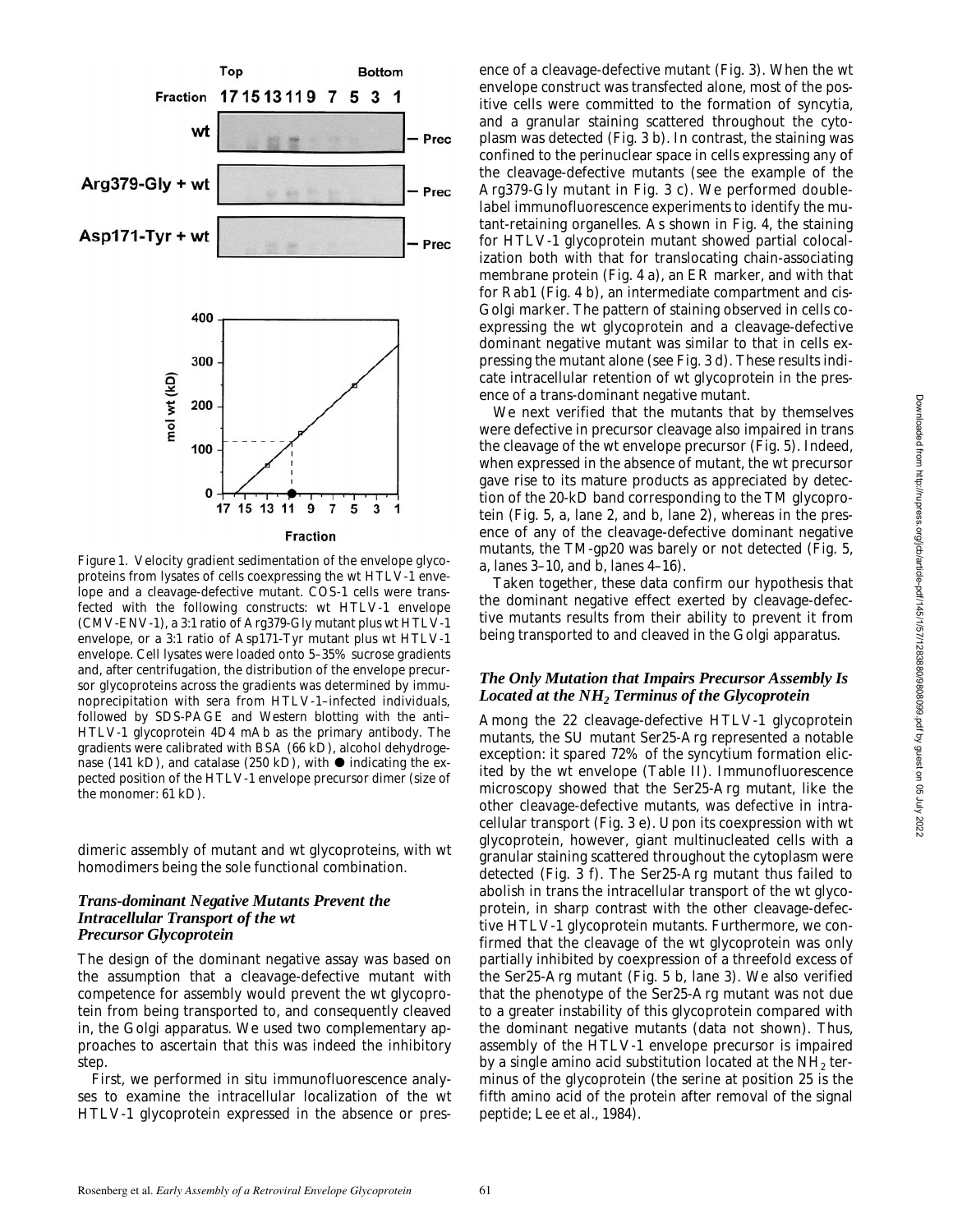

*Figure 1.* Velocity gradient sedimentation of the envelope glycoproteins from lysates of cells coexpressing the wt HTLV-1 envelope and a cleavage-defective mutant. COS-1 cells were transfected with the following constructs: wt HTLV-1 envelope (CMV-ENV-1), a 3:1 ratio of Arg379-Gly mutant plus wt HTLV-1 envelope, or a 3:1 ratio of Asp171-Tyr mutant plus wt HTLV-1 envelope. Cell lysates were loaded onto 5–35% sucrose gradients and, after centrifugation, the distribution of the envelope precursor glycoproteins across the gradients was determined by immunoprecipitation with sera from HTLV-1–infected individuals, followed by SDS-PAGE and Western blotting with the anti– HTLV-1 glycoprotein 4D4 mAb as the primary antibody. The gradients were calibrated with BSA (66 kD), alcohol dehydrogenase (141 kD), and catalase (250 kD), with  $\bullet$  indicating the expected position of the HTLV-1 envelope precursor dimer (size of the monomer: 61 kD).

dimeric assembly of mutant and wt glycoproteins, with wt homodimers being the sole functional combination.

#### *Trans-dominant Negative Mutants Prevent the Intracellular Transport of the wt Precursor Glycoprotein*

The design of the dominant negative assay was based on the assumption that a cleavage-defective mutant with competence for assembly would prevent the wt glycoprotein from being transported to, and consequently cleaved in, the Golgi apparatus. We used two complementary approaches to ascertain that this was indeed the inhibitory step.

First, we performed in situ immunofluorescence analyses to examine the intracellular localization of the wt HTLV-1 glycoprotein expressed in the absence or presence of a cleavage-defective mutant (Fig. 3). When the wt envelope construct was transfected alone, most of the positive cells were committed to the formation of syncytia, and a granular staining scattered throughout the cytoplasm was detected (Fig. 3 b). In contrast, the staining was confined to the perinuclear space in cells expressing any of the cleavage-defective mutants (see the example of the Arg379-Gly mutant in Fig. 3 c). We performed doublelabel immunofluorescence experiments to identify the mutant-retaining organelles. As shown in Fig. 4, the staining for HTLV-1 glycoprotein mutant showed partial colocalization both with that for translocating chain-associating membrane protein (Fig. 4 a), an ER marker, and with that for Rab1 (Fig. 4 b), an intermediate compartment and cis-Golgi marker. The pattern of staining observed in cells coexpressing the wt glycoprotein and a cleavage-defective dominant negative mutant was similar to that in cells expressing the mutant alone (see Fig. 3 d). These results indicate intracellular retention of wt glycoprotein in the presence of a trans-dominant negative mutant.

We next verified that the mutants that by themselves were defective in precursor cleavage also impaired in trans the cleavage of the wt envelope precursor (Fig. 5). Indeed, when expressed in the absence of mutant, the wt precursor gave rise to its mature products as appreciated by detection of the 20-kD band corresponding to the TM glycoprotein (Fig. 5, a, lane 2, and b, lane 2), whereas in the presence of any of the cleavage-defective dominant negative mutants, the TM-gp20 was barely or not detected (Fig. 5, a, lanes 3–10, and b, lanes 4–16).

Taken together, these data confirm our hypothesis that the dominant negative effect exerted by cleavage-defective mutants results from their ability to prevent it from being transported to and cleaved in the Golgi apparatus.

# *The Only Mutation that Impairs Precursor Assembly Is Located at the NH2 Terminus of the Glycoprotein*

Among the 22 cleavage-defective HTLV-1 glycoprotein mutants, the SU mutant Ser25-Arg represented a notable exception: it spared 72% of the syncytium formation elicited by the wt envelope (Table II). Immunofluorescence microscopy showed that the Ser25-Arg mutant, like the other cleavage-defective mutants, was defective in intracellular transport (Fig. 3 e). Upon its coexpression with wt glycoprotein, however, giant multinucleated cells with a granular staining scattered throughout the cytoplasm were detected (Fig. 3 f). The Ser25-Arg mutant thus failed to abolish in trans the intracellular transport of the wt glycoprotein, in sharp contrast with the other cleavage-defective HTLV-1 glycoprotein mutants. Furthermore, we confirmed that the cleavage of the wt glycoprotein was only partially inhibited by coexpression of a threefold excess of the Ser25-Arg mutant (Fig. 5 b, lane 3). We also verified that the phenotype of the Ser25-Arg mutant was not due to a greater instability of this glycoprotein compared with the dominant negative mutants (data not shown). Thus, assembly of the HTLV-1 envelope precursor is impaired by a single amino acid substitution located at the  $NH<sub>2</sub>$  terminus of the glycoprotein (the serine at position 25 is the fifth amino acid of the protein after removal of the signal peptide; Lee et al., 1984).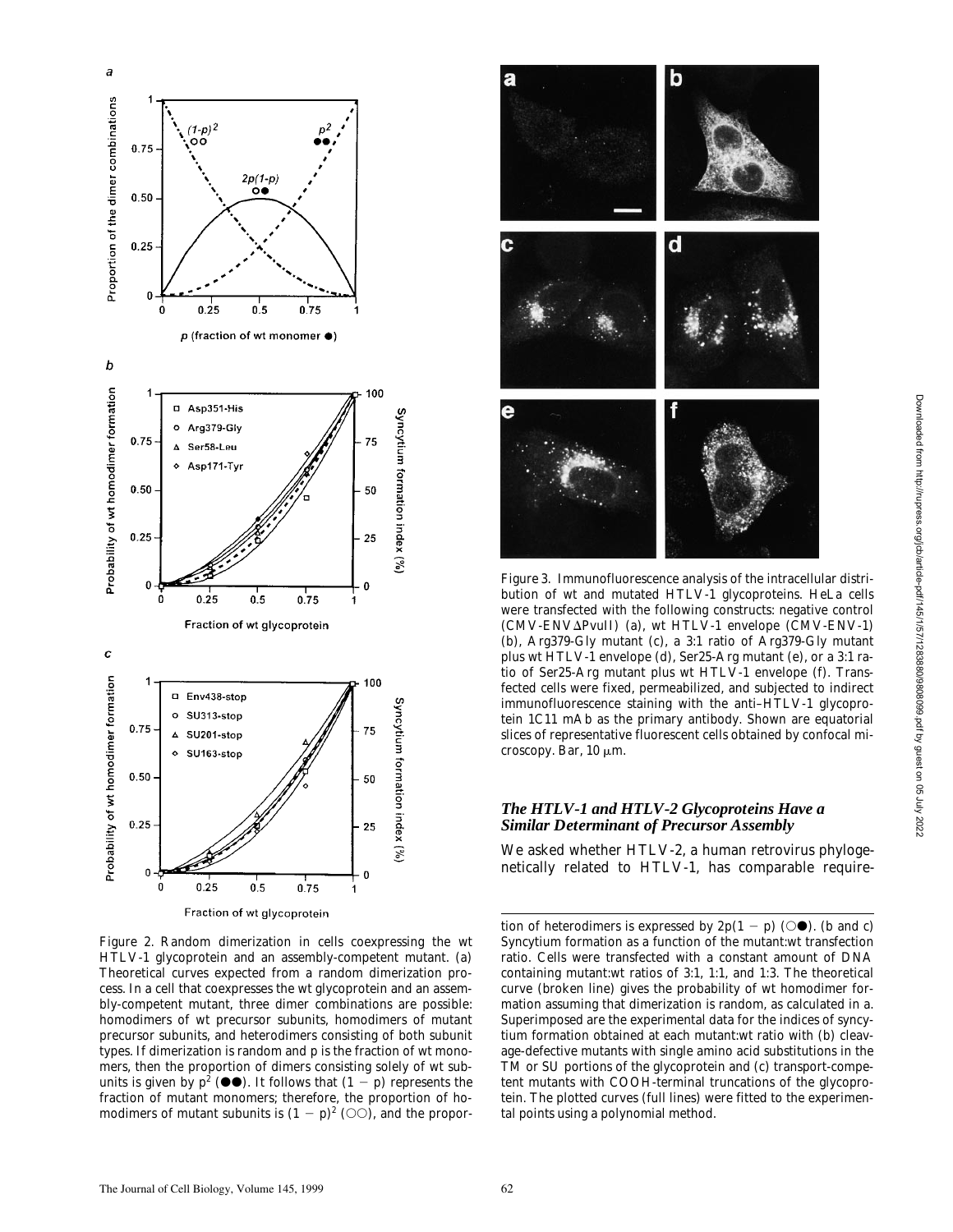

*Figure 2.* Random dimerization in cells coexpressing the wt HTLV-1 glycoprotein and an assembly-competent mutant. (a) Theoretical curves expected from a random dimerization process. In a cell that coexpresses the wt glycoprotein and an assembly-competent mutant, three dimer combinations are possible: homodimers of wt precursor subunits, homodimers of mutant precursor subunits, and heterodimers consisting of both subunit types. If dimerization is random and *p* is the fraction of wt monomers, then the proportion of dimers consisting solely of wt subunits is given by  $p^2$  ( $\bullet\bullet$ ). It follows that  $(1 - p)$  represents the fraction of mutant monomers; therefore, the proportion of homodimers of mutant subunits is  $(1 - p)^2$  ( $\circlearrowright$ ), and the propor-



*Figure 3.* Immunofluorescence analysis of the intracellular distribution of wt and mutated HTLV-1 glycoproteins. HeLa cells were transfected with the following constructs: negative control (CMV-ENV $\Delta$ PvuII) (a), wt HTLV-1 envelope (CMV-ENV-1) (b), Arg379-Gly mutant (c), a 3:1 ratio of Arg379-Gly mutant plus wt HTLV-1 envelope (d), Ser25-Arg mutant (e), or a 3:1 ratio of Ser25-Arg mutant plus wt HTLV-1 envelope (f). Transfected cells were fixed, permeabilized, and subjected to indirect immunofluorescence staining with the anti–HTLV-1 glycoprotein 1C11 mAb as the primary antibody. Shown are equatorial slices of representative fluorescent cells obtained by confocal microscopy. Bar,  $10 \mu m$ .

# *The HTLV-1 and HTLV-2 Glycoproteins Have a Similar Determinant of Precursor Assembly*

We asked whether HTLV-2, a human retrovirus phylogenetically related to HTLV-1, has comparable require-

tion of heterodimers is expressed by  $2p(1 - p)$  ( $\odot \bullet$ ). (b and c) Syncytium formation as a function of the mutant:wt transfection ratio. Cells were transfected with a constant amount of DNA containing mutant:wt ratios of 3:1, 1:1, and 1:3. The theoretical curve (broken line) gives the probability of wt homodimer formation assuming that dimerization is random, as calculated in a. Superimposed are the experimental data for the indices of syncytium formation obtained at each mutant:wt ratio with (b) cleavage-defective mutants with single amino acid substitutions in the TM or SU portions of the glycoprotein and (c) transport-competent mutants with COOH-terminal truncations of the glycoprotein. The plotted curves (full lines) were fitted to the experimental points using a polynomial method.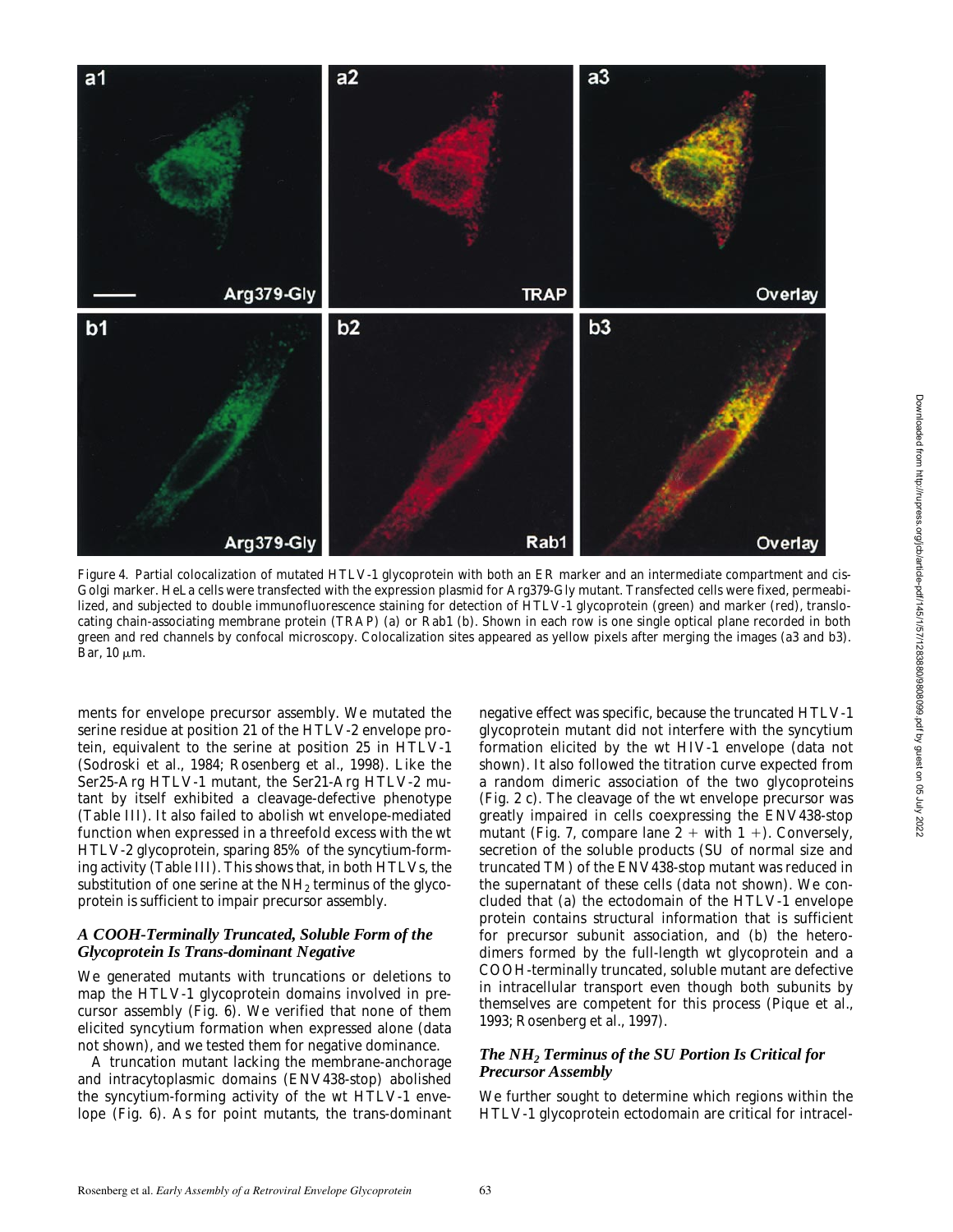

*Figure 4.* Partial colocalization of mutated HTLV-1 glycoprotein with both an ER marker and an intermediate compartment and cis-Golgi marker. HeLa cells were transfected with the expression plasmid for Arg379-Gly mutant. Transfected cells were fixed, permeabilized, and subjected to double immunofluorescence staining for detection of HTLV-1 glycoprotein (green) and marker (red), translocating chain-associating membrane protein (TRAP) (a) or Rab1 (b). Shown in each row is one single optical plane recorded in both green and red channels by confocal microscopy. Colocalization sites appeared as yellow pixels after merging the images (a3 and b3). Bar,  $10 \mu m$ .

ments for envelope precursor assembly. We mutated the serine residue at position 21 of the HTLV-2 envelope protein, equivalent to the serine at position 25 in HTLV-1 (Sodroski et al., 1984; Rosenberg et al., 1998). Like the Ser25-Arg HTLV-1 mutant, the Ser21-Arg HTLV-2 mutant by itself exhibited a cleavage-defective phenotype (Table III). It also failed to abolish wt envelope-mediated function when expressed in a threefold excess with the wt HTLV-2 glycoprotein, sparing 85% of the syncytium-forming activity (Table III). This shows that, in both HTLVs, the substitution of one serine at the  $NH<sub>2</sub>$  terminus of the glycoprotein is sufficient to impair precursor assembly.

# *A COOH-Terminally Truncated, Soluble Form of the Glycoprotein Is Trans-dominant Negative*

We generated mutants with truncations or deletions to map the HTLV-1 glycoprotein domains involved in precursor assembly (Fig. 6). We verified that none of them elicited syncytium formation when expressed alone (data not shown), and we tested them for negative dominance.

A truncation mutant lacking the membrane-anchorage and intracytoplasmic domains (ENV438-stop) abolished the syncytium-forming activity of the wt HTLV-1 envelope (Fig. 6). As for point mutants, the trans-dominant negative effect was specific, because the truncated HTLV-1 glycoprotein mutant did not interfere with the syncytium formation elicited by the wt HIV-1 envelope (data not shown). It also followed the titration curve expected from a random dimeric association of the two glycoproteins (Fig. 2 c). The cleavage of the wt envelope precursor was greatly impaired in cells coexpressing the ENV438-stop mutant (Fig. 7, compare lane  $2 +$  with  $1 +$ ). Conversely, secretion of the soluble products (SU of normal size and truncated TM) of the ENV438-stop mutant was reduced in the supernatant of these cells (data not shown). We concluded that (a) the ectodomain of the HTLV-1 envelope protein contains structural information that is sufficient for precursor subunit association, and (b) the heterodimers formed by the full-length wt glycoprotein and a COOH-terminally truncated, soluble mutant are defective in intracellular transport even though both subunits by themselves are competent for this process (Pique et al., 1993; Rosenberg et al., 1997).

# *The NH2 Terminus of the SU Portion Is Critical for Precursor Assembly*

We further sought to determine which regions within the HTLV-1 glycoprotein ectodomain are critical for intracel-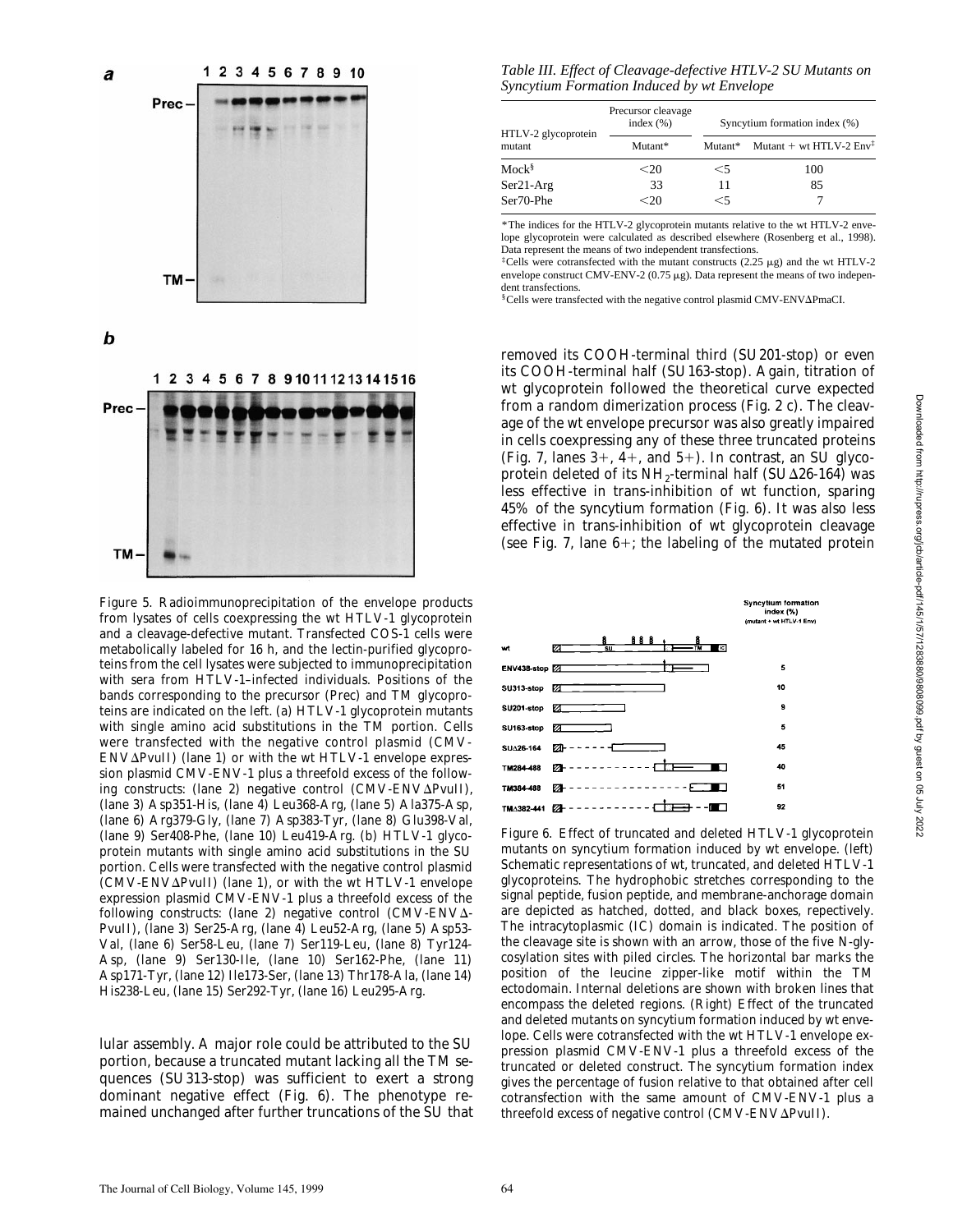

*Figure 5.* Radioimmunoprecipitation of the envelope products from lysates of cells coexpressing the wt HTLV-1 glycoprotein and a cleavage-defective mutant. Transfected COS-1 cells were metabolically labeled for 16 h, and the lectin-purified glycoproteins from the cell lysates were subjected to immunoprecipitation with sera from HTLV-1–infected individuals. Positions of the bands corresponding to the precursor (Prec) and TM glycoproteins are indicated on the left. (a) HTLV-1 glycoprotein mutants with single amino acid substitutions in the TM portion. Cells were transfected with the negative control plasmid (CMV- $ENV\Delta P$ vuII) (lane 1) or with the wt HTLV-1 envelope expression plasmid CMV-ENV-1 plus a threefold excess of the following constructs: (lane 2) negative control (CMV-ENV $\Delta$ PvuII), (lane 3) Asp351-His, (lane 4) Leu368-Arg, (lane 5) Ala375-Asp, (lane 6) Arg379-Gly, (lane 7) Asp383-Tyr, (lane 8) Glu398-Val, (lane 9) Ser408-Phe, (lane 10) Leu419-Arg. (b) HTLV-1 glycoprotein mutants with single amino acid substitutions in the SU portion. Cells were transfected with the negative control plasmid  $(CMV-ENV\Delta PvuII)$  (lane 1), or with the wt HTLV-1 envelope expression plasmid CMV-ENV-1 plus a threefold excess of the following constructs: (lane 2) negative control (CMV-ENV $\Delta$ -PvuII), (lane 3) Ser25-Arg, (lane 4) Leu52-Arg, (lane 5) Asp53- Val, (lane 6) Ser58-Leu, (lane 7) Ser119-Leu, (lane 8) Tyr124- Asp, (lane 9) Ser130-Ile, (lane 10) Ser162-Phe, (lane 11) Asp171-Tyr, (lane 12) Ile173-Ser, (lane 13) Thr178-Ala, (lane 14) His238-Leu, (lane 15) Ser292-Tyr, (lane 16) Leu295-Arg.

lular assembly. A major role could be attributed to the SU portion, because a truncated mutant lacking all the TM sequences (SU313-stop) was sufficient to exert a strong dominant negative effect (Fig. 6). The phenotype remained unchanged after further truncations of the SU that

*Table III. Effect of Cleavage-defective HTLV-2 SU Mutants on Syncytium Formation Induced by wt Envelope*

| HTLV-2 glycoprotein | Precursor cleavage<br>index $(\% )$ | Syncytium formation index (%) |                                     |  |
|---------------------|-------------------------------------|-------------------------------|-------------------------------------|--|
| mutant              | Mutant*                             | Mutant*                       | Mutant + wt HTLV-2 $Env^{\ddagger}$ |  |
| $Mock^{\S}$         | $20$                                | $\leq 5$                      | 100                                 |  |
| $Ser21-Arg$         | 33                                  | 11                            | 85                                  |  |
| Ser70-Phe           | $20$                                | $<$ 5                         |                                     |  |

\*The indices for the HTLV-2 glycoprotein mutants relative to the wt HTLV-2 envelope glycoprotein were calculated as described elsewhere (Rosenberg et al., 1998). Data represent the means of two independent transfections.

<sup>‡</sup>Cells were cotransfected with the mutant constructs (2.25  $\mu$ g) and the wt HTLV-2 envelope construct CMV-ENV-2 ( $0.75 \mu$ g). Data represent the means of two independent transfections.

§Cells were transfected with the negative control plasmid CMV-ENV∆PmaCI.

removed its COOH-terminal third (SU201-stop) or even its COOH-terminal half (SU163-stop). Again, titration of wt glycoprotein followed the theoretical curve expected from a random dimerization process (Fig. 2 c). The cleavage of the wt envelope precursor was also greatly impaired in cells coexpressing any of these three truncated proteins (Fig. 7, lanes  $3+$ ,  $4+$ , and  $5+$ ). In contrast, an SU glycoprotein deleted of its  $NH<sub>2</sub>$ -terminal half (SU $\Delta$ 26-164) was less effective in trans-inhibition of wt function, sparing 45% of the syncytium formation (Fig. 6). It was also less effective in trans-inhibition of wt glycoprotein cleavage (see Fig. 7, lane  $6+$ ; the labeling of the mutated protein



*Figure 6.* Effect of truncated and deleted HTLV-1 glycoprotein mutants on syncytium formation induced by wt envelope. (left) Schematic representations of wt, truncated, and deleted HTLV-1 glycoproteins. The hydrophobic stretches corresponding to the signal peptide, fusion peptide, and membrane-anchorage domain are depicted as hatched, dotted, and black boxes, repectively. The intracytoplasmic (IC) domain is indicated. The position of the cleavage site is shown with an arrow, those of the five *N*-glycosylation sites with piled circles. The horizontal bar marks the position of the leucine zipper-like motif within the TM ectodomain. Internal deletions are shown with broken lines that encompass the deleted regions. (Right) Effect of the truncated and deleted mutants on syncytium formation induced by wt envelope. Cells were cotransfected with the wt HTLV-1 envelope expression plasmid CMV-ENV-1 plus a threefold excess of the truncated or deleted construct. The syncytium formation index gives the percentage of fusion relative to that obtained after cell cotransfection with the same amount of CMV-ENV-1 plus a threefold excess of negative control (CMV-ENV $\Delta$ PvuII).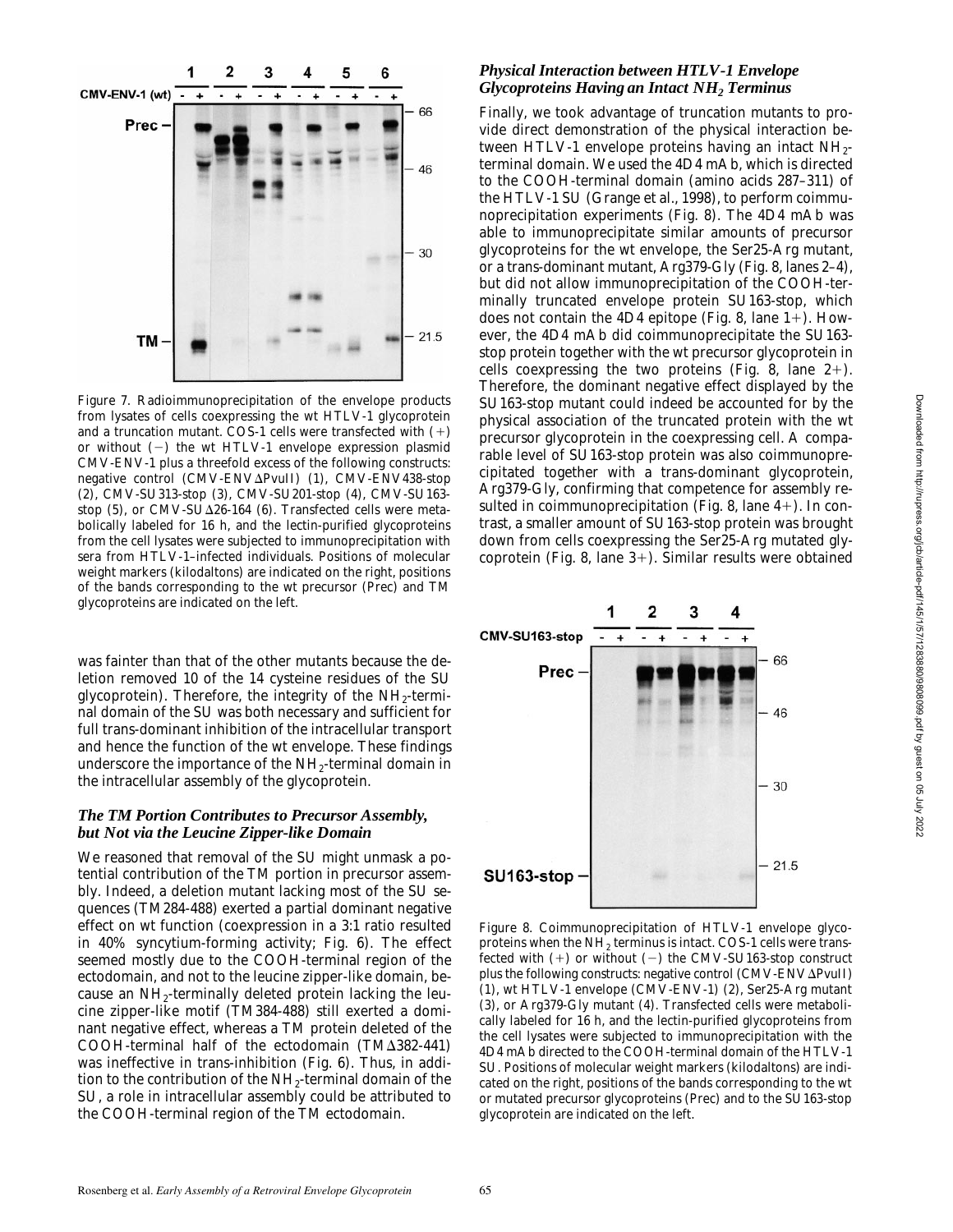

*Figure 7.* Radioimmunoprecipitation of the envelope products from lysates of cells coexpressing the wt HTLV-1 glycoprotein and a truncation mutant. COS-1 cells were transfected with  $(+)$ or without  $(-)$  the wt HTLV-1 envelope expression plasmid CMV-ENV-1 plus a threefold excess of the following constructs: negative control (CMV-ENV $\Delta$ PvuII) (1), CMV-ENV438-stop (2), CMV-SU313-stop (3), CMV-SU201-stop (4), CMV-SU163 stop (5), or CMV-SU $\Delta$ 26-164 (6). Transfected cells were metabolically labeled for 16 h, and the lectin-purified glycoproteins from the cell lysates were subjected to immunoprecipitation with sera from HTLV-1–infected individuals. Positions of molecular weight markers (kilodaltons) are indicated on the right, positions of the bands corresponding to the wt precursor (Prec) and TM glycoproteins are indicated on the left.

was fainter than that of the other mutants because the deletion removed 10 of the 14 cysteine residues of the SU glycoprotein). Therefore, the integrity of the  $NH_2$ -terminal domain of the SU was both necessary and sufficient for full trans-dominant inhibition of the intracellular transport and hence the function of the wt envelope. These findings underscore the importance of the  $NH<sub>2</sub>$ -terminal domain in the intracellular assembly of the glycoprotein.

#### *The TM Portion Contributes to Precursor Assembly, but Not via the Leucine Zipper-like Domain*

We reasoned that removal of the SU might unmask a potential contribution of the TM portion in precursor assembly. Indeed, a deletion mutant lacking most of the SU sequences (TM284-488) exerted a partial dominant negative effect on wt function (coexpression in a 3:1 ratio resulted in 40% syncytium-forming activity; Fig. 6). The effect seemed mostly due to the COOH-terminal region of the ectodomain, and not to the leucine zipper-like domain, because an NH2-terminally deleted protein lacking the leucine zipper-like motif (TM384-488) still exerted a dominant negative effect, whereas a TM protein deleted of the COOH-terminal half of the ectodomain  $(TM\Delta 382-441)$ was ineffective in trans-inhibition (Fig. 6). Thus, in addition to the contribution of the  $NH<sub>2</sub>$ -terminal domain of the SU, a role in intracellular assembly could be attributed to the COOH-terminal region of the TM ectodomain.

# *Physical Interaction between HTLV-1 Envelope Glycoproteins Having an Intact NH2 Terminus*

Finally, we took advantage of truncation mutants to provide direct demonstration of the physical interaction between HTLV-1 envelope proteins having an intact  $NH_{2}$ terminal domain. We used the 4D4 mAb, which is directed to the COOH-terminal domain (amino acids 287–311) of the HTLV-1 SU (Grange et al., 1998), to perform coimmunoprecipitation experiments (Fig. 8). The 4D4 mAb was able to immunoprecipitate similar amounts of precursor glycoproteins for the wt envelope, the Ser25-Arg mutant, or a trans-dominant mutant, Arg379-Gly (Fig. 8, lanes 2–4), but did not allow immunoprecipitation of the COOH-terminally truncated envelope protein SU163-stop, which does not contain the 4D4 epitope (Fig. 8, lane  $1+$ ). However, the 4D4 mAb did coimmunoprecipitate the SU163 stop protein together with the wt precursor glycoprotein in cells coexpressing the two proteins (Fig. 8, lane  $2+$ ). Therefore, the dominant negative effect displayed by the SU163-stop mutant could indeed be accounted for by the physical association of the truncated protein with the wt precursor glycoprotein in the coexpressing cell. A comparable level of SU163-stop protein was also coimmunoprecipitated together with a trans-dominant glycoprotein, Arg379-Gly, confirming that competence for assembly resulted in coimmunoprecipitation (Fig. 8, lane  $4+$ ). In contrast, a smaller amount of SU163-stop protein was brought down from cells coexpressing the Ser25-Arg mutated glycoprotein (Fig. 8, lane  $3+$ ). Similar results were obtained



*Figure 8.* Coimmunoprecipitation of HTLV-1 envelope glycoproteins when the  $NH<sub>2</sub>$  terminus is intact. COS-1 cells were transfected with  $(+)$  or without  $(-)$  the CMV-SU163-stop construct plus the following constructs: negative control (CMV-ENVAPvuII) (1), wt HTLV-1 envelope (CMV-ENV-1) (2), Ser25-Arg mutant (3), or Arg379-Gly mutant (4). Transfected cells were metabolically labeled for 16 h, and the lectin-purified glycoproteins from the cell lysates were subjected to immunoprecipitation with the 4D4 mAb directed to the COOH-terminal domain of the HTLV-1 SU. Positions of molecular weight markers (kilodaltons) are indicated on the right, positions of the bands corresponding to the wt or mutated precursor glycoproteins (Prec) and to the SU163-stop glycoprotein are indicated on the left.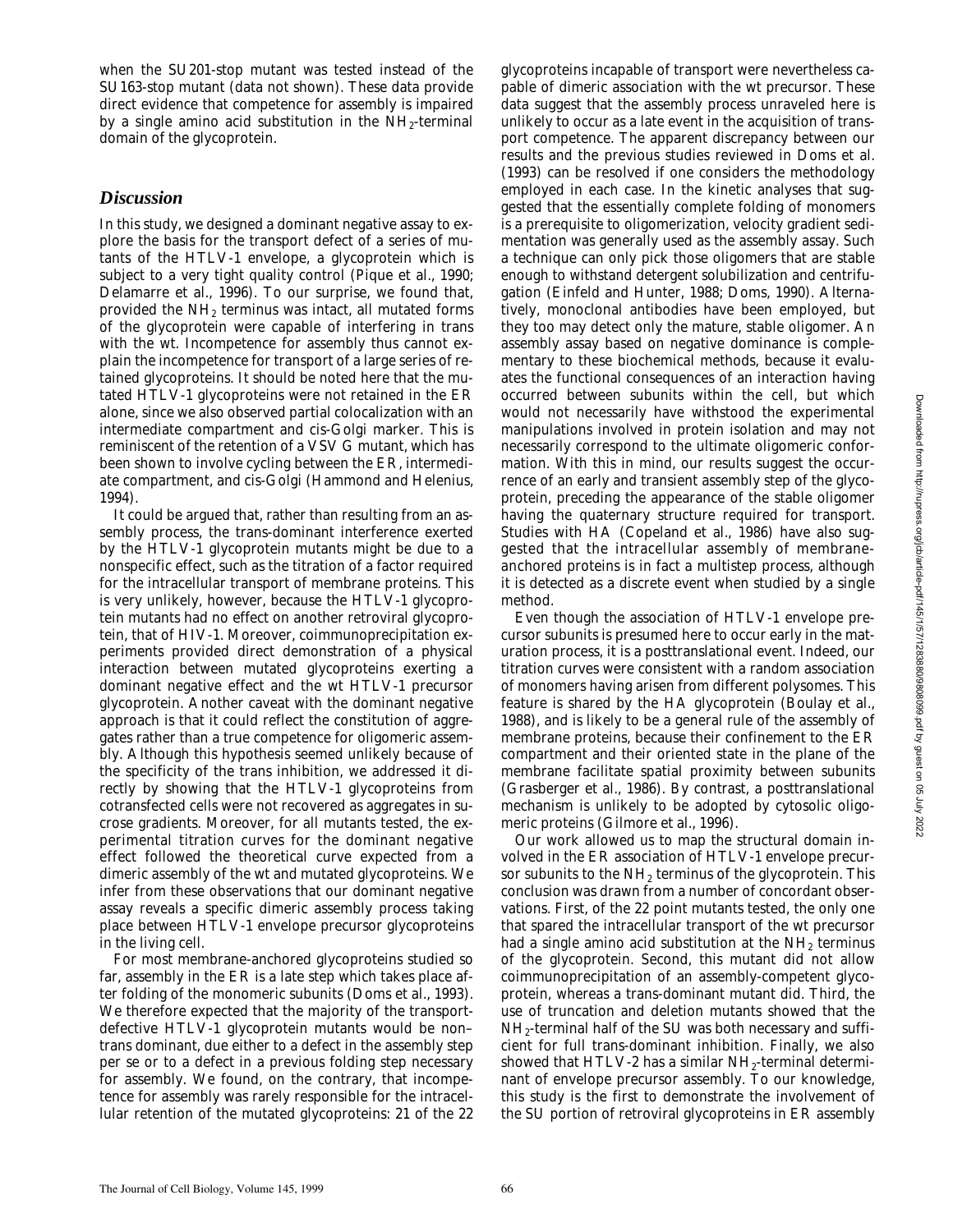when the SU201-stop mutant was tested instead of the SU163-stop mutant (data not shown). These data provide direct evidence that competence for assembly is impaired by a single amino acid substitution in the  $NH_2$ -terminal domain of the glycoprotein.

# *Discussion*

In this study, we designed a dominant negative assay to explore the basis for the transport defect of a series of mutants of the HTLV-1 envelope, a glycoprotein which is subject to a very tight quality control (Pique et al., 1990; Delamarre et al., 1996). To our surprise, we found that, provided the NH2 terminus was intact, all mutated forms of the glycoprotein were capable of interfering in trans with the wt. Incompetence for assembly thus cannot explain the incompetence for transport of a large series of retained glycoproteins. It should be noted here that the mutated HTLV-1 glycoproteins were not retained in the ER alone, since we also observed partial colocalization with an intermediate compartment and cis-Golgi marker. This is reminiscent of the retention of a VSV G mutant, which has been shown to involve cycling between the ER, intermediate compartment, and cis-Golgi (Hammond and Helenius, 1994).

It could be argued that, rather than resulting from an assembly process, the trans-dominant interference exerted by the HTLV-1 glycoprotein mutants might be due to a nonspecific effect, such as the titration of a factor required for the intracellular transport of membrane proteins. This is very unlikely, however, because the HTLV-1 glycoprotein mutants had no effect on another retroviral glycoprotein, that of HIV-1. Moreover, coimmunoprecipitation experiments provided direct demonstration of a physical interaction between mutated glycoproteins exerting a dominant negative effect and the wt HTLV-1 precursor glycoprotein. Another caveat with the dominant negative approach is that it could reflect the constitution of aggregates rather than a true competence for oligomeric assembly. Although this hypothesis seemed unlikely because of the specificity of the trans inhibition, we addressed it directly by showing that the HTLV-1 glycoproteins from cotransfected cells were not recovered as aggregates in sucrose gradients. Moreover, for all mutants tested, the experimental titration curves for the dominant negative effect followed the theoretical curve expected from a dimeric assembly of the wt and mutated glycoproteins. We infer from these observations that our dominant negative assay reveals a specific dimeric assembly process taking place between HTLV-1 envelope precursor glycoproteins in the living cell.

For most membrane-anchored glycoproteins studied so far, assembly in the ER is a late step which takes place after folding of the monomeric subunits (Doms et al., 1993). We therefore expected that the majority of the transportdefective HTLV-1 glycoprotein mutants would be non– trans dominant, due either to a defect in the assembly step per se or to a defect in a previous folding step necessary for assembly. We found, on the contrary, that incompetence for assembly was rarely responsible for the intracellular retention of the mutated glycoproteins: 21 of the 22 glycoproteins incapable of transport were nevertheless capable of dimeric association with the wt precursor. These data suggest that the assembly process unraveled here is unlikely to occur as a late event in the acquisition of transport competence. The apparent discrepancy between our results and the previous studies reviewed in Doms et al. (1993) can be resolved if one considers the methodology employed in each case. In the kinetic analyses that suggested that the essentially complete folding of monomers is a prerequisite to oligomerization, velocity gradient sedimentation was generally used as the assembly assay. Such a technique can only pick those oligomers that are stable enough to withstand detergent solubilization and centrifugation (Einfeld and Hunter, 1988; Doms, 1990). Alternatively, monoclonal antibodies have been employed, but they too may detect only the mature, stable oligomer. An assembly assay based on negative dominance is complementary to these biochemical methods, because it evaluates the functional consequences of an interaction having occurred between subunits within the cell, but which would not necessarily have withstood the experimental manipulations involved in protein isolation and may not necessarily correspond to the ultimate oligomeric conformation. With this in mind, our results suggest the occurrence of an early and transient assembly step of the glycoprotein, preceding the appearance of the stable oligomer having the quaternary structure required for transport. Studies with HA (Copeland et al., 1986) have also suggested that the intracellular assembly of membraneanchored proteins is in fact a multistep process, although it is detected as a discrete event when studied by a single method.

Even though the association of HTLV-1 envelope precursor subunits is presumed here to occur early in the maturation process, it is a posttranslational event. Indeed, our titration curves were consistent with a random association of monomers having arisen from different polysomes. This feature is shared by the HA glycoprotein (Boulay et al., 1988), and is likely to be a general rule of the assembly of membrane proteins, because their confinement to the ER compartment and their oriented state in the plane of the membrane facilitate spatial proximity between subunits (Grasberger et al., 1986). By contrast, a posttranslational mechanism is unlikely to be adopted by cytosolic oligomeric proteins (Gilmore et al., 1996).

Our work allowed us to map the structural domain involved in the ER association of HTLV-1 envelope precursor subunits to the  $NH<sub>2</sub>$  terminus of the glycoprotein. This conclusion was drawn from a number of concordant observations. First, of the 22 point mutants tested, the only one that spared the intracellular transport of the wt precursor had a single amino acid substitution at the  $NH<sub>2</sub>$  terminus of the glycoprotein. Second, this mutant did not allow coimmunoprecipitation of an assembly-competent glycoprotein, whereas a trans-dominant mutant did. Third, the use of truncation and deletion mutants showed that the NH<sub>2</sub>-terminal half of the SU was both necessary and sufficient for full trans-dominant inhibition. Finally, we also showed that HTLV-2 has a similar NH<sub>2</sub>-terminal determinant of envelope precursor assembly. To our knowledge, this study is the first to demonstrate the involvement of the SU portion of retroviral glycoproteins in ER assembly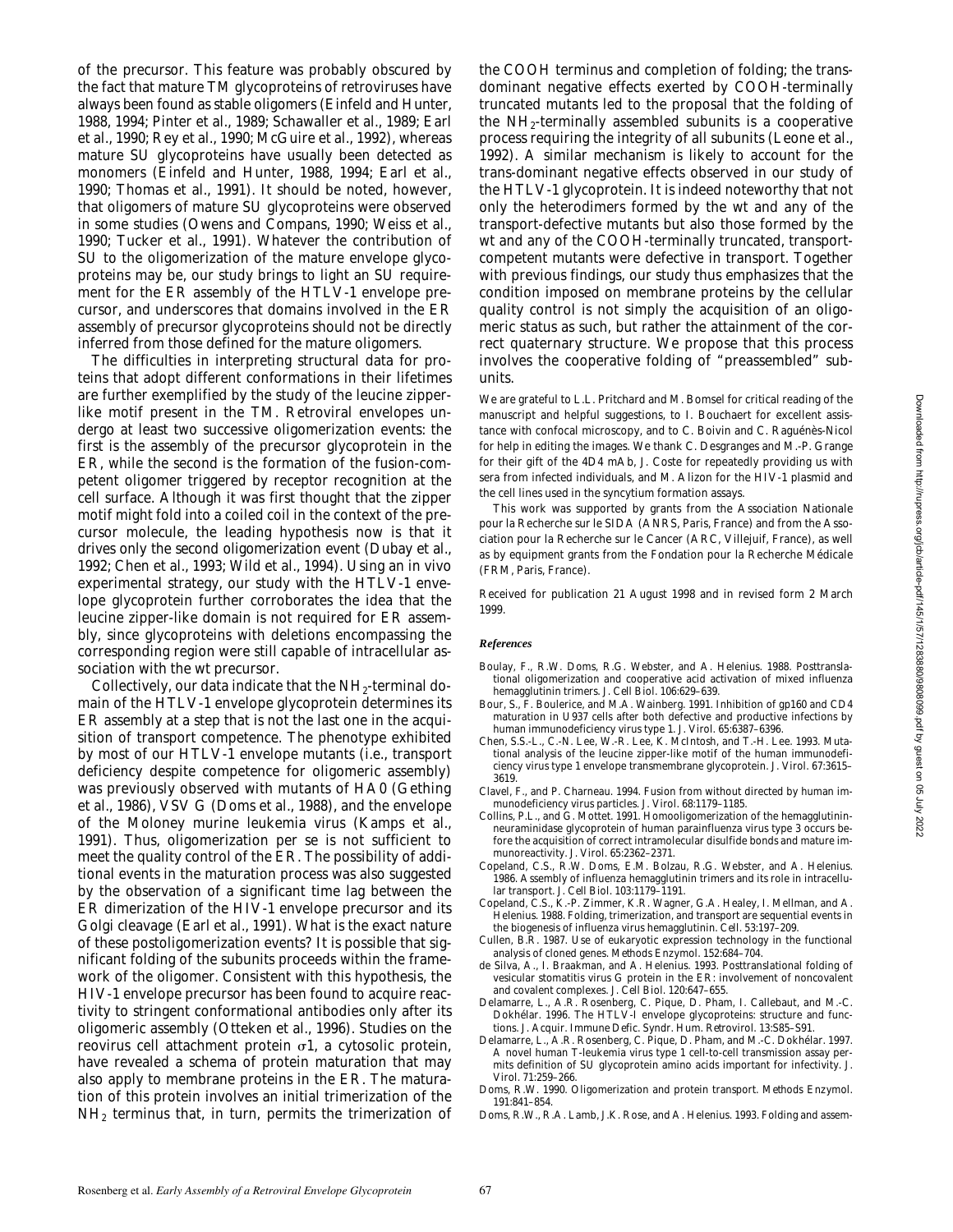of the precursor. This feature was probably obscured by the fact that mature TM glycoproteins of retroviruses have always been found as stable oligomers (Einfeld and Hunter, 1988, 1994; Pinter et al., 1989; Schawaller et al., 1989; Earl et al., 1990; Rey et al., 1990; McGuire et al., 1992), whereas mature SU glycoproteins have usually been detected as monomers (Einfeld and Hunter, 1988, 1994; Earl et al., 1990; Thomas et al., 1991). It should be noted, however, that oligomers of mature SU glycoproteins were observed in some studies (Owens and Compans, 1990; Weiss et al., 1990; Tucker et al., 1991). Whatever the contribution of SU to the oligomerization of the mature envelope glycoproteins may be, our study brings to light an SU requirement for the ER assembly of the HTLV-1 envelope precursor, and underscores that domains involved in the ER assembly of precursor glycoproteins should not be directly inferred from those defined for the mature oligomers.

The difficulties in interpreting structural data for proteins that adopt different conformations in their lifetimes are further exemplified by the study of the leucine zipperlike motif present in the TM. Retroviral envelopes undergo at least two successive oligomerization events: the first is the assembly of the precursor glycoprotein in the ER, while the second is the formation of the fusion-competent oligomer triggered by receptor recognition at the cell surface. Although it was first thought that the zipper motif might fold into a coiled coil in the context of the precursor molecule, the leading hypothesis now is that it drives only the second oligomerization event (Dubay et al., 1992; Chen et al., 1993; Wild et al., 1994). Using an in vivo experimental strategy, our study with the HTLV-1 envelope glycoprotein further corroborates the idea that the leucine zipper-like domain is not required for ER assembly, since glycoproteins with deletions encompassing the corresponding region were still capable of intracellular association with the wt precursor.

Collectively, our data indicate that the  $NH<sub>2</sub>$ -terminal domain of the HTLV-1 envelope glycoprotein determines its ER assembly at a step that is not the last one in the acquisition of transport competence. The phenotype exhibited by most of our HTLV-1 envelope mutants (i.e., transport deficiency despite competence for oligomeric assembly) was previously observed with mutants of HA0 (Gething et al., 1986), VSV G (Doms et al., 1988), and the envelope of the Moloney murine leukemia virus (Kamps et al., 1991). Thus, oligomerization per se is not sufficient to meet the quality control of the ER. The possibility of additional events in the maturation process was also suggested by the observation of a significant time lag between the ER dimerization of the HIV-1 envelope precursor and its Golgi cleavage (Earl et al., 1991). What is the exact nature of these postoligomerization events? It is possible that significant folding of the subunits proceeds within the framework of the oligomer. Consistent with this hypothesis, the HIV-1 envelope precursor has been found to acquire reactivity to stringent conformational antibodies only after its oligomeric assembly (Otteken et al., 1996). Studies on the reovirus cell attachment protein  $\sigma$ 1, a cytosolic protein, have revealed a schema of protein maturation that may also apply to membrane proteins in the ER. The maturation of this protein involves an initial trimerization of the  $NH<sub>2</sub>$  terminus that, in turn, permits the trimerization of

the COOH terminus and completion of folding; the transdominant negative effects exerted by COOH-terminally truncated mutants led to the proposal that the folding of the  $NH_2$ -terminally assembled subunits is a cooperative process requiring the integrity of all subunits (Leone et al., 1992). A similar mechanism is likely to account for the trans-dominant negative effects observed in our study of the HTLV-1 glycoprotein. It is indeed noteworthy that not only the heterodimers formed by the wt and any of the transport-defective mutants but also those formed by the wt and any of the COOH-terminally truncated, transportcompetent mutants were defective in transport. Together with previous findings, our study thus emphasizes that the condition imposed on membrane proteins by the cellular quality control is not simply the acquisition of an oligomeric status as such, but rather the attainment of the correct quaternary structure. We propose that this process involves the cooperative folding of "preassembled" subunits.

We are grateful to L.L. Pritchard and M. Bomsel for critical reading of the manuscript and helpful suggestions, to I. Bouchaert for excellent assistance with confocal microscopy, and to C. Boivin and C. Raguénès-Nicol for help in editing the images. We thank C. Desgranges and M.-P. Grange for their gift of the 4D4 mAb, J. Coste for repeatedly providing us with sera from infected individuals, and M. Alizon for the HIV-1 plasmid and the cell lines used in the syncytium formation assays.

This work was supported by grants from the Association Nationale pour la Recherche sur le SIDA (ANRS, Paris, France) and from the Association pour la Recherche sur le Cancer (ARC, Villejuif, France), as well as by equipment grants from the Fondation pour la Recherche Médicale (FRM, Paris, France).

Received for publication 21 August 1998 and in revised form 2 March 1999.

#### *References*

- Boulay, F., R.W. Doms, R.G. Webster, and A. Helenius. 1988. Posttranslational oligomerization and cooperative acid activation of mixed influenza hemagglutinin trimers. *J. Cell Biol.* 106:629–639.
- Bour, S., F. Boulerice, and M.A. Wainberg. 1991. Inhibition of gp160 and CD4 maturation in U937 cells after both defective and productive infections by human immunodeficiency virus type 1. *J. Virol.* 65:6387–6396.
- Chen, S.S.-L., C.-N. Lee, W.-R. Lee, K. McIntosh, and T.-H. Lee. 1993. Mutational analysis of the leucine zipper-like motif of the human immunodeficiency virus type 1 envelope transmembrane glycoprotein. *J. Virol.* 67:3615– 3619.
- Clavel, F., and P. Charneau. 1994. Fusion from without directed by human immunodeficiency virus particles. *J. Virol.* 68:1179–1185.
- Collins, P.L., and G. Mottet. 1991. Homooligomerization of the hemagglutininneuraminidase glycoprotein of human parainfluenza virus type 3 occurs before the acquisition of correct intramolecular disulfide bonds and mature immunoreactivity. *J. Virol.* 65:2362–2371.
- Copeland, C.S., R.W. Doms, E.M. Bolzau, R.G. Webster, and A. Helenius. 1986. Assembly of influenza hemagglutinin trimers and its role in intracellular transport. *J. Cell Biol.* 103:1179–1191.
- Copeland, C.S., K.-P. Zimmer, K.R. Wagner, G.A. Healey, I. Mellman, and A. Helenius. 1988. Folding, trimerization, and transport are sequential events in the biogenesis of influenza virus hemagglutinin. *Cell*. 53:197–209.
- Cullen, B.R. 1987. Use of eukaryotic expression technology in the functional analysis of cloned genes. *Methods Enzymol.* 152:684–704.
- de Silva, A., I. Braakman, and A. Helenius. 1993. Posttranslational folding of vesicular stomatitis virus G protein in the ER: involvement of noncovalent and covalent complexes. *J. Cell Biol.* 120:647–655.
- Delamarre, L., A.R. Rosenberg, C. Pique, D. Pham, I. Callebaut, and M.-C. Dokhélar. 1996. The HTLV-I envelope glycoproteins: structure and functions. *J. Acquir. Immune Defic. Syndr. Hum. Retrovirol.* 13:S85–S91.
- Delamarre, L., A.R. Rosenberg, C. Pique, D. Pham, and M.-C. Dokhélar. 1997. A novel human T-leukemia virus type 1 cell-to-cell transmission assay permits definition of SU glycoprotein amino acids important for infectivity. *J. Virol.* 71:259–266.
- Doms, R.W. 1990. Oligomerization and protein transport. *Methods Enzymol.* 191:841–854.

Doms, R.W., R.A. Lamb, J.K. Rose, and A. Helenius. 1993. Folding and assem-